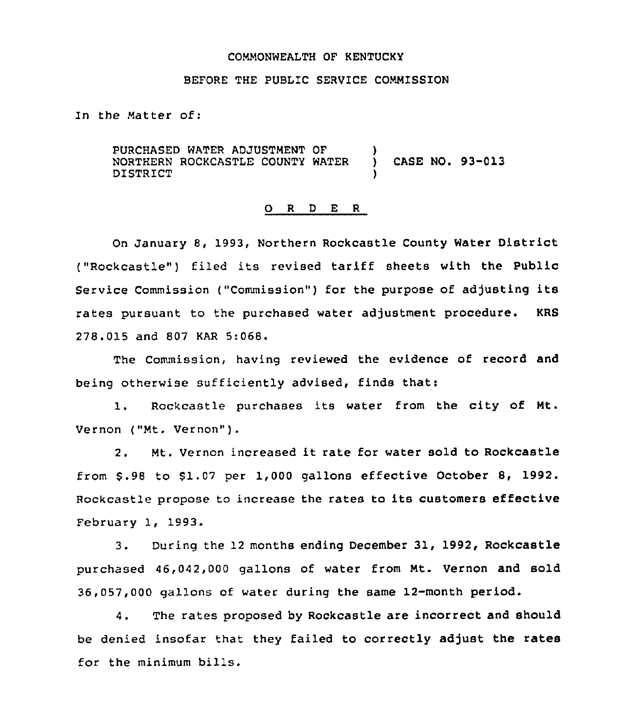#### COMMONWEALTH OF KENTUCKY

## BEFORE THE PUBLIC SERVICE COMMISSION

In the Matter of:

PURCHASED WATER ADJUSTMENT OF  $\)$ <br>NORTHERN ROCKCASTLE COUNTY WATER  $\)$ NORTHERN ROCKCASTLE COUNTY WATER ) CASE NO. 93-013 DISTRICT )

#### 0 <sup>R</sup> <sup>D</sup> <sup>E</sup> <sup>R</sup>

On January 8, 1993, Northern Rockcastle County Water District ("Rockcastle") filed its revised tariff sheets with the Public Service Commission ("Commission") for the purpose of adjusting its rates pursuant to the purchased water adjustment procedure. KRS 278.015 and 807 KAR 5:068.

The Commission, having reviewed the evidence of record and being otherwise sufficiently advised, finds that:

1. Rockcastle purchases its water from the city of Mt. Vernon ("Mt. Vernon" ).

2. Mt. Vernon increased it rate for water sold to Rockcastle from 6.98 to 61.07 per 1,000 gallons effective October 8, 1992. Rockcastle propose to increase the rates to its customers effective February 1, 1993.

3. During the 12 months ending December 31, 1992, Rockcastle purchased 46,042,000 gallons of water from Mt. Vernon and sold  $36,057,000$  gallons of water during the same 12-month period.

4. The rates proposed by Rockcastle are incorrect and should be denied insofar that they failed to correctly adjust the rates for the minimum bills.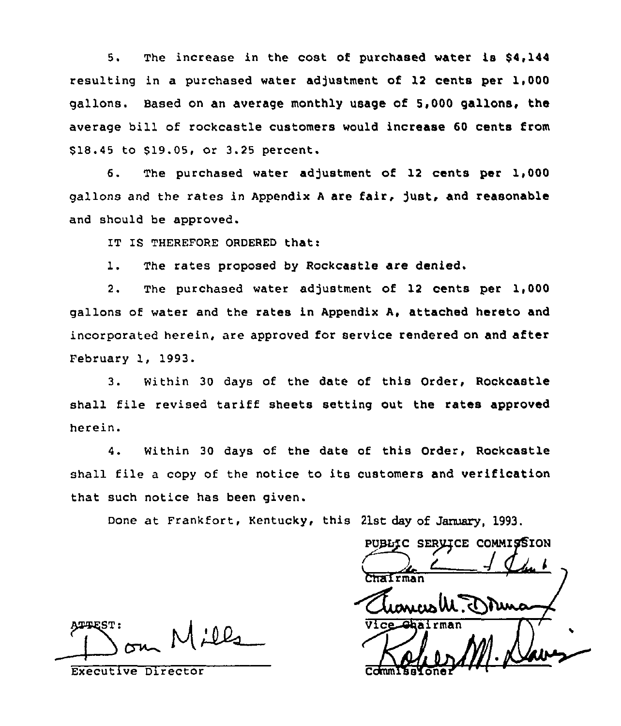5. The increase in the cost of purchased water is \$4,144 resulting in a purchased water adjustment of 12 cents per 1,000 gallons. Based on an average monthly usage of 5,000 gallons, the average bill of rockcastle customers would increase 60 cents from \$18.45 to \$19.05, or 3.25 percent.

6. The purchased water adjustment of 12 cents per 1,000 gallons and the rates in Appendix A are fair, just, and reasonable and should be approved.

IT IS THEREFORE ORDERED that:

1. The rates proposed by Rockcastle are denied.

2. The purchased water adjustment of 12 cents per 1,000 gallons of water and the rates in Appendix A, attached hereto and incorporated herein, are approved for service rendered on and after February 1, 1993.

3. within 30 days of the date of this Order, Rockcastle shall file revised tariff sheets setting out the rates approved herein.

4. Within 30 days of the date of this Order, Rockcastle shall file <sup>a</sup> copy of the notice to its customers and verification that such notice has been given.

Done at Frankfort, Kentucky, this 21st day of January, 1993.

ATTEST: on Mills

Executive Director

PUBLIC SERVICE COMMISSION Taleman Vice Ghairman